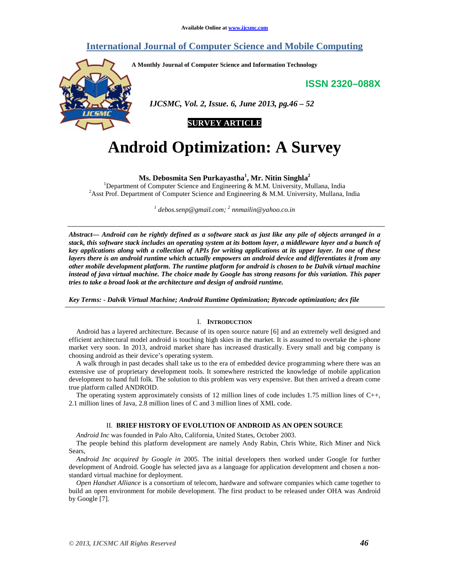# **International Journal of Computer Science and Mobile Computing**

**A Monthly Journal of Computer Science and Information Technology** 

**ISSN 2320–088X**



 *IJCSMC, Vol. 2, Issue. 6, June 2013, pg.46 – 52* 



# **Android Optimization: A Survey**

**Ms. Debosmita Sen Purkayastha<sup>1</sup> , Mr. Nitin Singhla<sup>2</sup>**

<sup>1</sup>Department of Computer Science and Engineering & M.M. University, Mullana, India <sup>2</sup> Asst Prof. Department of Computer Science and Engineering & M.M. University, Mullana, India

*1 debos.senp@gmail.com; <sup>2</sup> nnmailin@yahoo.co.in*

*Abstract— Android can be rightly defined as a software stack as just like any pile of objects arranged in a stack, this software stack includes an operating system at its bottom layer, a middleware layer and a bunch of key applications along with a collection of APIs for writing applications at its upper layer. In one of these layers there is an android runtime which actually empowers an android device and differentiates it from any other mobile development platform. The runtime platform for android is chosen to be Dalvik virtual machine instead of java virtual machine. The choice made by Google has strong reasons for this variation. This paper tries to take a broad look at the architecture and design of android runtime.* 

*Key Terms: - Dalvik Virtual Machine; Android Runtime Optimization; Bytecode optimization; dex file* 

# I. **INTRODUCTION**

Android has a layered architecture. Because of its open source nature [6] and an extremely well designed and efficient architectural model android is touching high skies in the market. It is assumed to overtake the i-phone market very soon. In 2013, android market share has increased drastically. Every small and big company is choosing android as their device's operating system.

A walk through in past decades shall take us to the era of embedded device programming where there was an extensive use of proprietary development tools. It somewhere restricted the knowledge of mobile application development to hand full folk. The solution to this problem was very expensive. But then arrived a dream come true platform called ANDROID.

The operating system approximately consists of 12 million lines of code includes 1.75 million lines of C++, 2.1 million lines of Java, 2.8 million lines of C and 3 million lines of XML code.

# II. **BRIEF HISTORY OF EVOLUTION OF ANDROID AS AN OPEN SOURCE**

*Android Inc* was founded in Palo Alto, California, United States, October 2003.

The people behind this platform development are namely Andy Rabin, Chris White, Rich Miner and Nick Sears,

*Android Inc acquired by Google in* 2005. The initial developers then worked under Google for further development of Android. Google has selected java as a language for application development and chosen a nonstandard virtual machine for deployment.

*Open Handset Alliance* is a consortium of telecom, hardware and software companies which came together to build an open environment for mobile development. The first product to be released under OHA was Android by Google [7].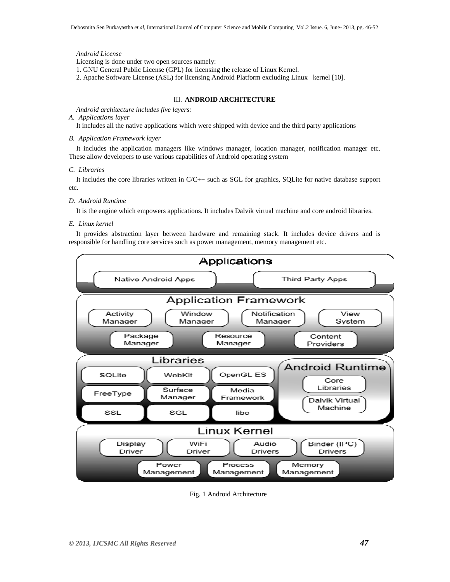# *Android License*

Licensing is done under two open sources namely:

1. GNU General Public License (GPL) for licensing the release of Linux Kernel.

2. Apache Software License (ASL) for licensing Android Platform excluding Linux kernel [10].

# III. **ANDROID ARCHITECTURE**

*Android architecture includes five layers:* 

# *A. Applications layer*

It includes all the native applications which were shipped with device and the third party applications

# *B. Application Framework layer*

It includes the application managers like windows manager, location manager, notification manager etc. These allow developers to use various capabilities of Android operating system

### *C. Libraries*

It includes the core libraries written in C/C++ such as SGL for graphics, SQLite for native database support etc.

# *D. Android Runtime*

It is the engine which empowers applications. It includes Dalvik virtual machine and core android libraries.

# *E. Linux kernel*

It provides abstraction layer between hardware and remaining stack. It includes device drivers and is responsible for handling core services such as power management, memory management etc.



Fig. 1 Android Architecture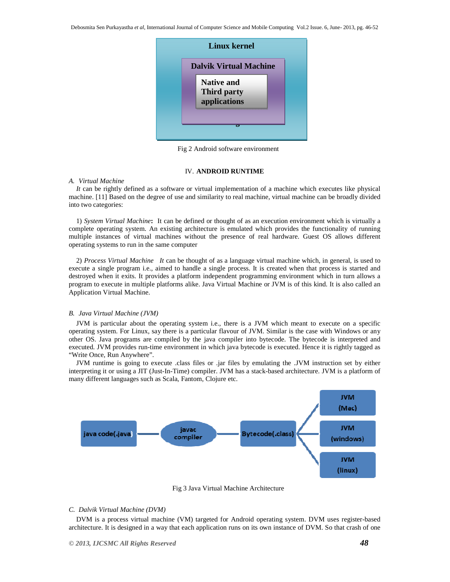Debosmita Sen Purkayastha *et al*, International Journal of Computer Science and Mobile Computing Vol.2 Issue. 6, June- 2013, pg. 46-52



Fig 2 Android software environment

# IV. **ANDROID RUNTIME**

# *A. Virtual Machine*

*It* can be rightly defined as a software or virtual implementation of a machine which executes like physical machine. [11] Based on the degree of use and similarity to real machine, virtual machine can be broadly divided into two categories:

1) *System Virtual Machine***:** It can be defined or thought of as an execution environment which is virtually a complete operating system. An existing architecture is emulated which provides the functionality of running multiple instances of virtual machines without the presence of real hardware. Guest OS allows different operating systems to run in the same computer

2) *Process Virtual Machine It* can be thought of as a language virtual machine which, in general, is used to execute a single program i.e., aimed to handle a single process. It is created when that process is started and destroyed when it exits. It provides a platform independent programming environment which in turn allows a program to execute in multiple platforms alike. Java Virtual Machine or JVM is of this kind. It is also called an Application Virtual Machine.

#### *B. Java Virtual Machine (JVM)*

JVM is particular about the operating system i.e., there is a JVM which meant to execute on a specific operating system. For Linux, say there is a particular flavour of JVM. Similar is the case with Windows or any other OS. Java programs are compiled by the java compiler into bytecode. The bytecode is interpreted and executed. JVM provides run-time environment in which java bytecode is executed. Hence it is rightly tagged as "Write Once, Run Anywhere".

JVM runtime is going to execute .class files or .jar files by emulating the .JVM instruction set by either interpreting it or using a JIT (Just-In-Time) compiler. JVM has a stack-based architecture. JVM is a platform of many different languages such as Scala, Fantom, Clojure etc.



Fig 3 Java Virtual Machine Architecture

#### *C. Dalvik Virtual Machine (DVM)*

DVM is a process virtual machine (VM) targeted for Android operating system. DVM uses register-based architecture. It is designed in a way that each application runs on its own instance of DVM. So that crash of one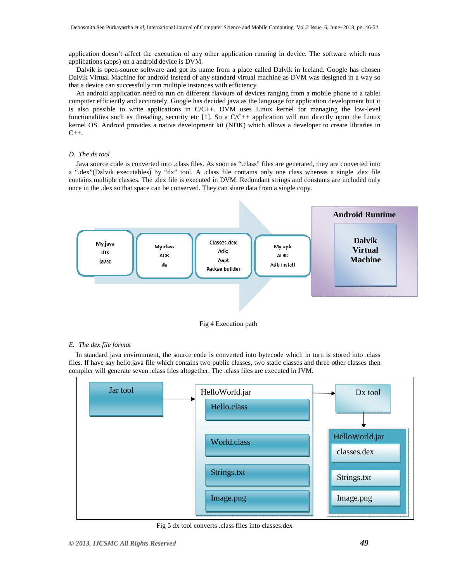application doesn't affect the execution of any other application running in device. The software which runs applications (apps) on a android device is DVM.

Dalvik is open-source software and got its name from a place called Dalvik in Iceland. Google has chosen Dalvik Virtual Machine for android instead of any standard virtual machine as DVM was designed in a way so that a device can successfully run multiple instances with efficiency.

An android application need to run on different flavours of devices ranging from a mobile phone to a tablet computer efficiently and accurately. Google has decided java as the language for application development but it is also possible to write applications in C/C++. DVM uses Linux kernel for managing the low-level functionalities such as threading, security etc [1]. So a  $C/C++$  application will run directly upon the Linux kernel OS. Android provides a native development kit (NDK) which allows a developer to create libraries in  $C_{++}$ .

# *D. The dx tool*

Java source code is converted into .class files. As soon as ".class" files are generated, they are converted into a ".dex"(Dalvik executables) by "dx" tool. A .class file contains only one class whereas a single .dex file contains multiple classes. The .dex file is executed in DVM. Redundant strings and constants are included only once in the .dex so that space can be conserved. They can share data from a single copy.



Fig 4 Execution path

#### *E. The dex file format*

In standard java environment, the source code is converted into bytecode which in turn is stored into .class files. If have say hello.java file which contains two public classes, two static classes and three other classes then compiler will generate seven .class files altogether. The .class files are executed in JVM.



Fig 5 dx tool converts .class files into classes.dex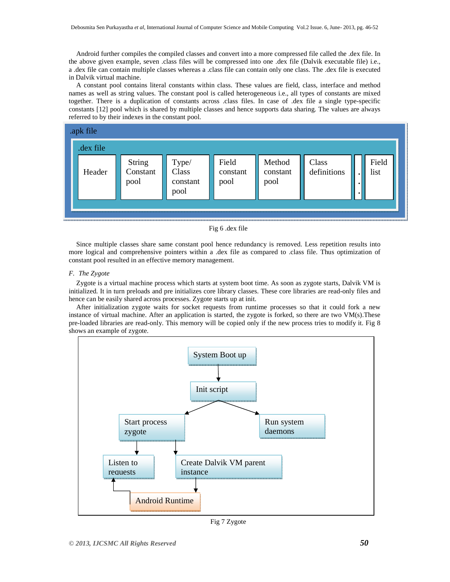Android further compiles the compiled classes and convert into a more compressed file called the .dex file. In the above given example, seven .class files will be compressed into one .dex file (Dalvik executable file) i.e., a .dex file can contain multiple classes whereas a .class file can contain only one class. The .dex file is executed in Dalvik virtual machine.

A constant pool contains literal constants within class. These values are field, class, interface and method names as well as string values. The constant pool is called heterogeneous i.e., all types of constants are mixed together. There is a duplication of constants across .class files. In case of .dex file a single type-specific constants [12] pool which is shared by multiple classes and hence supports data sharing. The values are always referred to by their indexes in the constant pool.



```
Fig 6 .dex file
```
Since multiple classes share same constant pool hence redundancy is removed. Less repetition results into more logical and comprehensive pointers within a .dex file as compared to .class file. Thus optimization of constant pool resulted in an effective memory management.

# *F. The Zygote*

Zygote is a virtual machine process which starts at system boot time. As soon as zygote starts, Dalvik VM is initialized. It in turn preloads and pre initializes core library classes. These core libraries are read-only files and hence can be easily shared across processes. Zygote starts up at init.

After initialization zygote waits for socket requests from runtime processes so that it could fork a new instance of virtual machine. After an application is started, the zygote is forked, so there are two VM(s).These pre-loaded libraries are read-only. This memory will be copied only if the new process tries to modify it. Fig 8 shows an example of zygote.



Fig 7 Zygote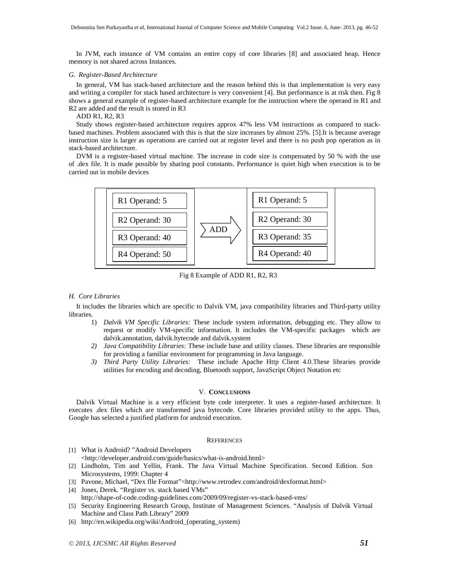In JVM, each instance of VM contains an entire copy of core libraries [8] and associated heap. Hence memory is not shared across Instances.

#### *G. Register-Based Architecture*

In general, VM has stack-based architecture and the reason behind this is that implementation is very easy and writing a compiler for stack based architecture is very convenient [4]. But performance is at risk then. Fig 8 shows a general example of register-based architecture example for the instruction where the operand in R1 and R2 are added and the result is stored in R3

ADD R1, R2, R3

Study shows register-based architecture requires approx 47% less VM instructions as compared to stackbased machines. Problem associated with this is that the size increases by almost 25%. [5].It is because average instruction size is larger as operations are carried out at register level and there is no push pop operation as in stack-based architecture.

DVM is a register-based virtual machine. The increase in code size is compensated by 50 % with the use of .dex file. It is made possible by sharing pool constants. Performance is quiet high when execution is to be carried out in mobile devices



Fig 8 Example of ADD R1, R2, R3

# *H. Core Libraries*

It includes the libraries which are specific to Dalvik VM, java compatibility libraries and Third-party utility libraries.

- 1) *Dalvik VM Specific Libraries:* These include system information, debugging etc. They allow to request or modify VM-specific information. It includes the VM-specific packages which are dalvik.annotation, dalvik.bytecode and dalvik.system
- *2) Java Compatibility Libraries:* These include base and utility classes. These libraries are responsible for providing a familiar environment for programming in Java language.
- *3) Third Party Utility Libraries:* These include Apache Http Client 4.0.These libraries provide utilities for encoding and decoding, Bluetooth support, JavaScript Object Notation etc

# V. **CONCLUSIONS**

Dalvik Virtual Machine is a very efficient byte code interpreter. It uses a register-based architecture. It executes .dex files which are transformed java bytecode. Core libraries provided utility to the apps. Thus, Google has selected a justified platform for android execution.

# **REFERENCES**

- [1] What is Android? "Android Developers <http://developer.android.com/guide/basics/what-is-android.html>
- [2] Lindholm, Tim and Yellin, Frank. The Java Virtual Machine Specification. Second Edition. Sun Microsystems, 1999: Chapter 4
- [3] Pavone, Michael, "Dex flle Format"<http://www.retrodev.com/android/dexformat.html>
- [4] Jones, Derek. "Register vs. stack based VMs"
- http://shape-of-code.coding-guidelines.com/2009/09/register-vs-stack-based-vms/
- [5] Security Engineering Research Group, Institute of Management Sciences. "Analysis of Dalvik Virtual Machine and Class Path Library" 2009
- [6] http://en.wikipedia.org/wiki/Android\_(operating\_system)